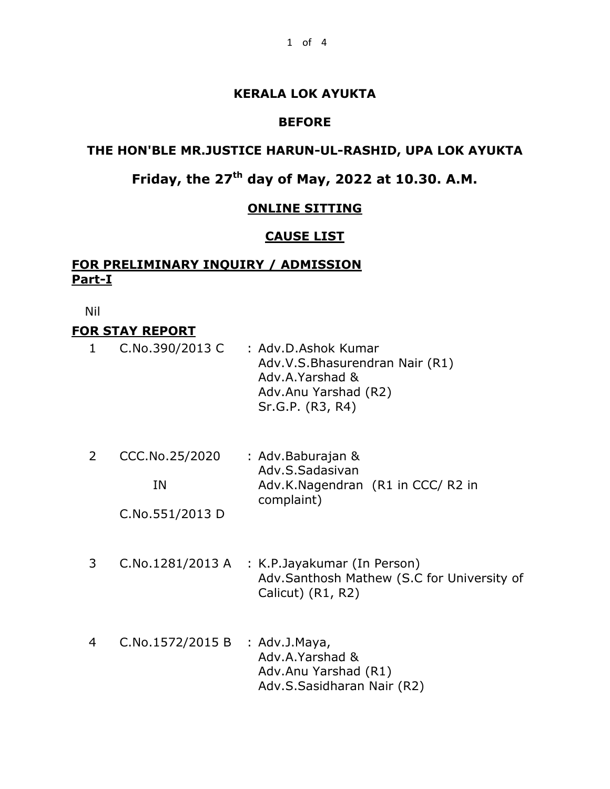## **KERALA LOK AYUKTA**

#### **BEFORE**

## **THE HON'BLE MR.JUSTICE HARUN-UL-RASHID, UPA LOK AYUKTA**

# **Friday, the 27th day of May, 2022 at 10.30. A.M.**

#### **ONLINE SITTING**

#### **CAUSE LIST**

## **FOR PRELIMINARY INQUIRY / ADMISSION Part-I**

Nil

# **FOR STAY REPORT**

| $\mathbf{1}$ | C.No.390/2013 C | : Adv.D.Ashok Kumar<br>Adv.V.S.Bhasurendran Nair (R1)<br>Adv.A.Yarshad &<br>Adv.Anu Yarshad (R2)<br>Sr.G.P. (R3, R4) |  |
|--------------|-----------------|----------------------------------------------------------------------------------------------------------------------|--|
| 2            | CCC.No.25/2020  | : Adv.Baburajan &<br>Adv.S.Sadasivan                                                                                 |  |
|              | ΙN              | Adv.K.Nagendran (R1 in CCC/R2 in<br>complaint)                                                                       |  |

C.No.551/2013 D

- 3 C.No.1281/2013 A : K.P.Jayakumar (In Person) Adv.Santhosh Mathew (S.C for University of Calicut) (R1, R2)
- 4 C.No.1572/2015 B : Adv.J.Maya, Adv.A.Yarshad & Adv.Anu Yarshad (R1) Adv.S.Sasidharan Nair (R2)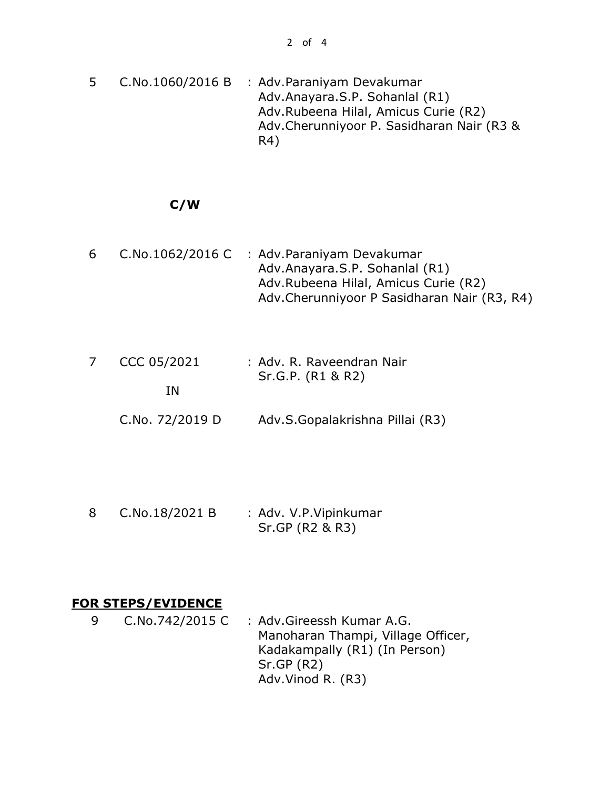5 C.No.1060/2016 B : Adv.Paraniyam Devakumar Adv.Anayara.S.P. Sohanlal (R1) Adv.Rubeena Hilal, Amicus Curie (R2) Adv.Cherunniyoor P. Sasidharan Nair (R3 & R4)

# **C/W**

- 6 C.No.1062/2016 C : Adv.Paraniyam Devakumar Adv.Anayara.S.P. Sohanlal (R1) Adv.Rubeena Hilal, Amicus Curie (R2) Adv.Cherunniyoor P Sasidharan Nair (R3, R4)
- 7 CCC 05/2021 IN : Adv. R. Raveendran Nair Sr.G.P. (R1 & R2)
	- C.No. 72/2019 D Adv.S.Gopalakrishna Pillai (R3)

8 C.No.18/2021 B : Adv. V.P. Vipinkumar Sr.GP (R2 & R3)

#### **FOR STEPS/EVIDENCE**

9 C.No.742/2015 C : Adv.Gireessh Kumar A.G. Manoharan Thampi, Village Officer, Kadakampally (R1) (In Person) Sr.GP (R2) Adv.Vinod R. (R3)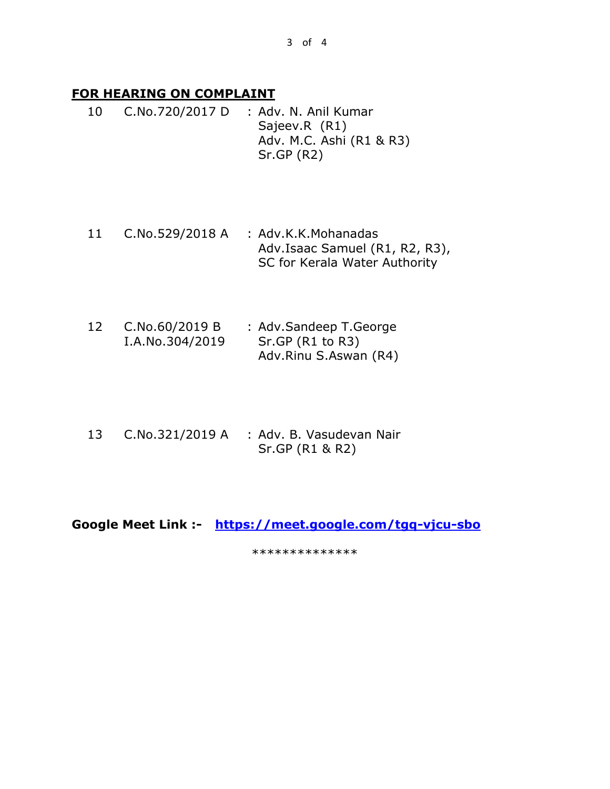## **FOR HEARING ON COMPLAINT**

- 10 C.No.720/2017 D : Adv. N. Anil Kumar Sajeev.R (R1) Adv. M.C. Ashi (R1 & R3) Sr.GP (R2)
- 11 C.No.529/2018 A : Adv.K.K.Mohanadas Adv.Isaac Samuel (R1, R2, R3), SC for Kerala Water Authority
- 12 C.No.60/2019 B I.A.No.304/2019 : Adv.Sandeep T.George Sr.GP (R1 to R3) Adv.Rinu S.Aswan (R4)
- 13 C.No.321/2019 A : Adv. B. Vasudevan Nair Sr.GP (R1 & R2)

**Google Meet Link :- <https://meet.google.com/tgq-vjcu-sbo>**

\*\*\*\*\*\*\*\*\*\*\*\*\*\*